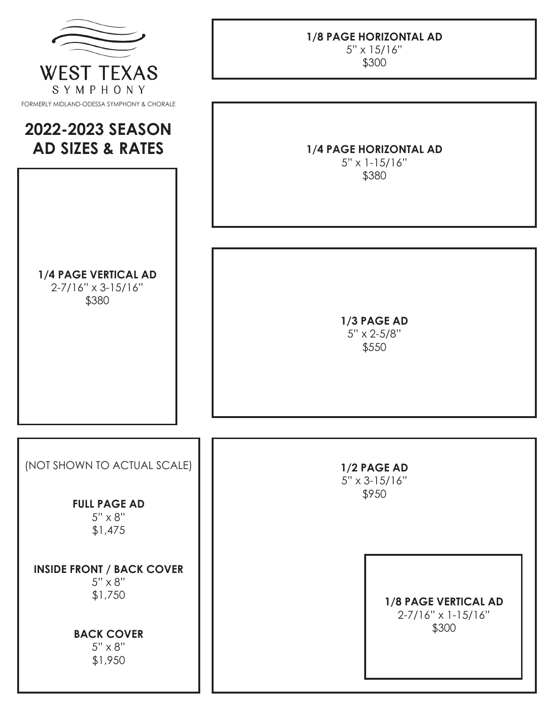